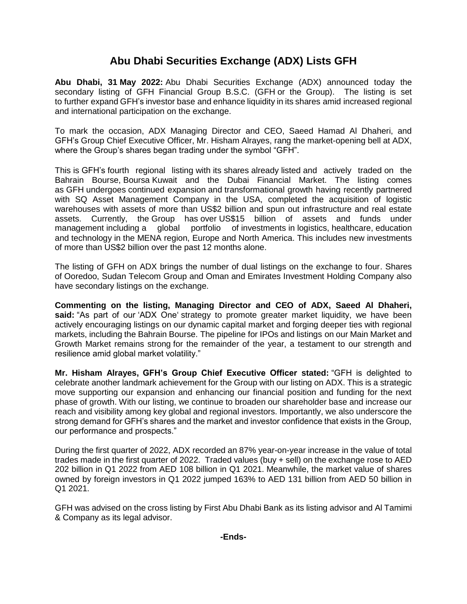## **Abu Dhabi Securities Exchange (ADX) Lists GFH**

**Abu Dhabi, 31 May 2022:** Abu Dhabi Securities Exchange (ADX) announced today the secondary listing of GFH Financial Group B.S.C. (GFH or the Group). The listing is set to further expand GFH's investor base and enhance liquidity in its shares amid increased regional and international participation on the exchange.

To mark the occasion, ADX Managing Director and CEO, Saeed Hamad Al Dhaheri, and GFH's Group Chief Executive Officer, Mr. Hisham Alrayes, rang the market-opening bell at ADX, where the Group's shares began trading under the symbol "GFH".

This is GFH's fourth regional listing with its shares already listed and actively traded on the Bahrain Bourse, Boursa Kuwait and the Dubai Financial Market. The listing comes as GFH undergoes continued expansion and transformational growth having recently partnered with SQ Asset Management Company in the USA, completed the acquisition of logistic warehouses with assets of more than US\$2 billion and spun out infrastructure and real estate assets. Currently, the Group has over US\$15 billion of assets and funds under management including a global portfolio of investments in logistics, healthcare, education and technology in the MENA region, Europe and North America. This includes new investments of more than US\$2 billion over the past 12 months alone.

The listing of GFH on ADX brings the number of dual listings on the exchange to four. Shares of Ooredoo, Sudan Telecom Group and Oman and Emirates Investment Holding Company also have secondary listings on the exchange.

**Commenting on the listing, Managing Director and CEO of ADX, Saeed Al Dhaheri, said:** "As part of our 'ADX One' strategy to promote greater market liquidity, we have been actively encouraging listings on our dynamic capital market and forging deeper ties with regional markets, including the Bahrain Bourse. The pipeline for IPOs and listings on our Main Market and Growth Market remains strong for the remainder of the year, a testament to our strength and resilience amid global market volatility."

**Mr. Hisham Alrayes, GFH's Group Chief Executive Officer stated:** "GFH is delighted to celebrate another landmark achievement for the Group with our listing on ADX. This is a strategic move supporting our expansion and enhancing our financial position and funding for the next phase of growth. With our listing, we continue to broaden our shareholder base and increase our reach and visibility among key global and regional investors. Importantly, we also underscore the strong demand for GFH's shares and the market and investor confidence that exists in the Group, our performance and prospects."

During the first quarter of 2022, ADX recorded an 87% year-on-year increase in the value of total trades made in the first quarter of 2022. Traded values (buy + sell) on the exchange rose to AED 202 billion in Q1 2022 from AED 108 billion in Q1 2021. Meanwhile, the market value of shares owned by foreign investors in Q1 2022 jumped 163% to AED 131 billion from AED 50 billion in Q1 2021.

GFH was advised on the cross listing by First Abu Dhabi Bank as its listing advisor and Al Tamimi & Company as its legal advisor.